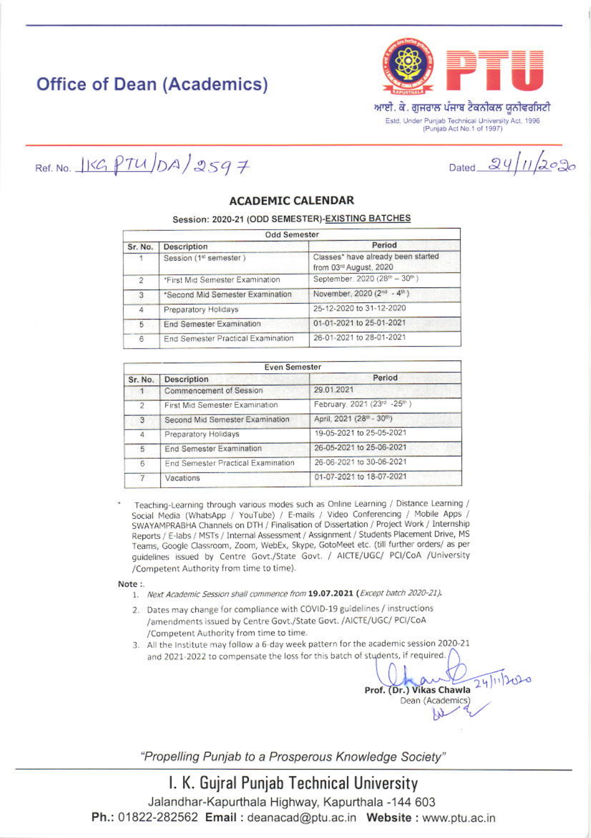# **Office of Dean (Academics)**



Dated  $24/11/2020$ 

Ref. No.  $15GPTU/DA/2597$ 

### **ACADEMIC CALENDAR**

#### Session: 2020-21 (ODD SEMESTER)-EXISTING BATCHES

| <b>Odd Semester</b> |                                    |                                                              |
|---------------------|------------------------------------|--------------------------------------------------------------|
| Sr. No.             | Description                        | Period                                                       |
|                     | Session (1st semester)             | Classes* have already been started<br>from 03rd August, 2020 |
| $\mathcal{P}$       | *First Mid Semester Examination    | September. 2020 (28th - 30th)                                |
| 3                   | *Second Mid Semester Examination   | November, 2020 (2 <sup>nd</sup> - 4 <sup>th</sup> )          |
| $\overline{4}$      | Preparatory Holidays               | 25-12-2020 to 31-12-2020                                     |
| 5                   | End Semester Examination           | 01-01-2021 to 25-01-2021                                     |
| 6                   | End Semester Practical Examination | 26-01-2021 to 28-01-2021                                     |

| <b>Even Semester</b>   |                                    |                             |
|------------------------|------------------------------------|-----------------------------|
| Sr. No.                | <b>Description</b>                 | Period                      |
| $\left  \cdot \right $ | Commencement of Session            | 29.01.2021                  |
| $\overline{2}$         | First Mid Semester Examination     | February, 2021 (23rd -25th) |
| 3                      | Second Mid Semester Examination    | April, 2021 (28th - 30th)   |
| 4                      | Preparatory Holidays               | 19-05-2021 to 25-05-2021    |
| 5                      | End Semester Examination           | 26-05-2021 to 25-06-2021    |
| 6                      | End Semester Practical Examination | 26-06-2021 to 30-06-2021    |
| $\overline{7}$         | Vacations                          | 01-07-2021 to 18-07-2021    |

Teaching-Learning through various modes such as Online Learning / Distance Learning / Social Media (WhatsApp / YouTube) / E-mails / Video Conferencing / Mobile Apps / SWAYAMPRABHA Channels on DTH / Finalisation of Dissertation / Project Work / Internship Reports / E-labs / MSTs / Internal Assessment / Assignment / Students Placement Drive, MS Teams, Google Classroom, Zoom, WebEx, Skype, GotoMeet etc. (till further orders/ as per guidelines issued by Centre Govt./State Govt. / AICTE/UGC/ PCI/CoA /University /Competent Authority from time to time).

Note:

- 1. Next Academic Session shall commence from 19.07.2021 (Except batch 2020-21).
- 2. Dates may change for compliance with COVID-19 guidelines / instructions /amendments issued by Centre Govt./State Govt./AICTE/UGC/ PCI/CoA /Competent Authority from time to time.
- 3. All the Institute may follow a 6-day week pattern for the academic session 2020-21 and 2021-2022 to compensate the loss for this batch of students, if required.

24/11/2020 Prof. (Dr.) Vikas Chawla Dean (Academics)

"Propelling Punjab to a Prosperous Knowledge Society"

### I. K. Gujral Punjab Technical University

Jalandhar-Kapurthala Highway, Kapurthala -144 603 Ph.: 01822-282562 Email: deanacad@ptu.ac.in Website: www.ptu.ac.in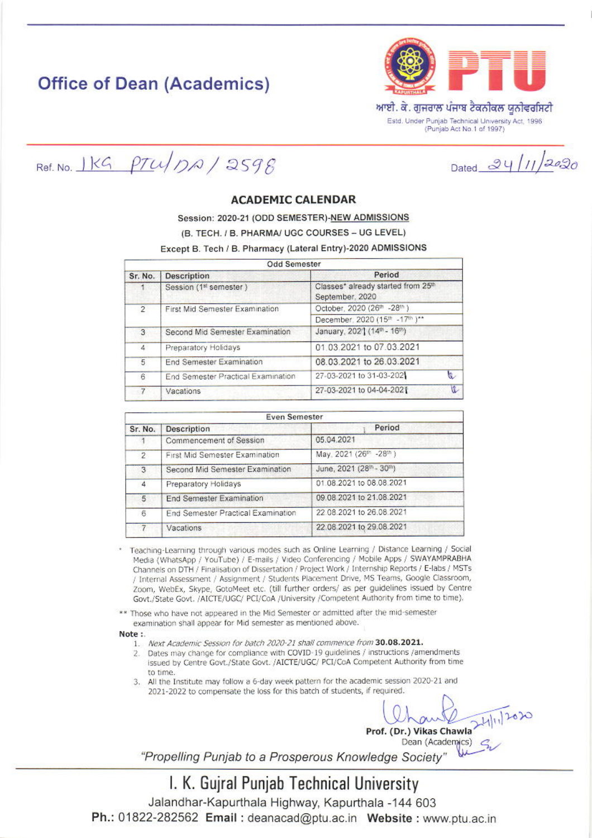### **Office of Dean (Academics)**



Dated 24/11/2020

Ref. No.  $IKG$   $PTU/DA / 2598$ 

#### **ACADEMIC CALENDAR**

Session: 2020-21 (ODD SEMESTER)-NEW ADMISSIONS

(B. TECH. / B. PHARMA/ UGC COURSES - UG LEVEL)

Except B. Tech / B. Pharmacy (Lateral Entry)-2020 ADMISSIONS

| <b>Odd Semester</b> |                                    |                                                       |          |
|---------------------|------------------------------------|-------------------------------------------------------|----------|
| Sr. No.             | <b>Description</b>                 | Period                                                |          |
|                     | Session (1st semester)             | Classes* already started from 25th<br>September, 2020 |          |
| $\overline{2}$      | First Mid Semester Examination     | October, 2020 (26th -28th)                            |          |
|                     |                                    | December, 2020 (15th -17th )**                        |          |
| 3                   | Second Mid Semester Examination    | January, 202'] (14th - 16th)                          |          |
| $\ddot{4}$          | Preparatory Holidays               | 01.03.2021 to 07.03.2021                              |          |
| 5                   | End Semester Examination           | 08.03.2021 to 26.03.2021                              |          |
| 6                   | End Semester Practical Examination | 27-03-2021 to 31-03-202                               | <b>Q</b> |
| $-7$                | Vacations                          | 27-03-2021 to 04-04-2021                              | V.       |
|                     |                                    |                                                       |          |

| <b>Even Semester</b> |                                    |                          |
|----------------------|------------------------------------|--------------------------|
| Sr. No.              | Description                        | Period                   |
| 11                   | Commencement of Session            | 05.04.2021               |
| 2.                   | First Mid Semester Examination     | May. 2021 (26th -28th)   |
| 3                    | Second Mid Semester Examination    | June, 2021 (28th - 30th) |
| 4                    | Preparatory Holidays               | 01.08.2021 to 08.08.2021 |
| 5                    | End Semester Examination           | 09.08.2021 to 21.08.2021 |
| 6                    | End Semester Practical Examination | 22 08:2021 to 26.08.2021 |
|                      | Vacations                          | 22.08.2021 to 29.08.2021 |

Teaching-Learning through various modes such as Online Learning / Distance Learning / Social Media (WhatsApp / YouTube) / E-mails / Video Conferencing / Mobile Apps / SWAYAMPRABHA Channels on DTH / Finalisation of Dissertation / Project Work / Internship Reports / E-labs / MSTs / Internal Assessment / Assignment / Students Placement Drive, MS Teams, Google Classroom, Zoom, WebEx, Skype, GotoMeet etc. (till further orders/ as per guidelines issued by Centre Govt./State Govt. /AICTE/UGC/ PCI/CoA /University /Competent Authority from time to time).

Those who have not appeared in the Mid Semester or admitted after the mid-semester examination shall appear for Mid semester as mentioned above.

Note:

- 1. Next Academic Session for batch 2020-21 shall commence from 30.08.2021.
- 2. Dates may change for compliance with COVID-19 guidelines / instructions /amendments issued by Centre Govt./State Govt. /AICTE/UGC/ PCI/CoA Competent Authority from time to time.
- 3. All the Institute may follow a 6-day week pattern for the academic session 2020-21 and 2021-2022 to compensate the loss for this batch of students, if required.

Prof. (Dr.) Vikas Chawla

Dean (Academics) c

"Propelling Punjab to a Prosperous Knowledge Society"

I. K. Gujral Punjab Technical University Jalandhar-Kapurthala Highway, Kapurthala -144 603 Ph.: 01822-282562 Email: deanacad@ptu.ac.in Website: www.ptu.ac.in